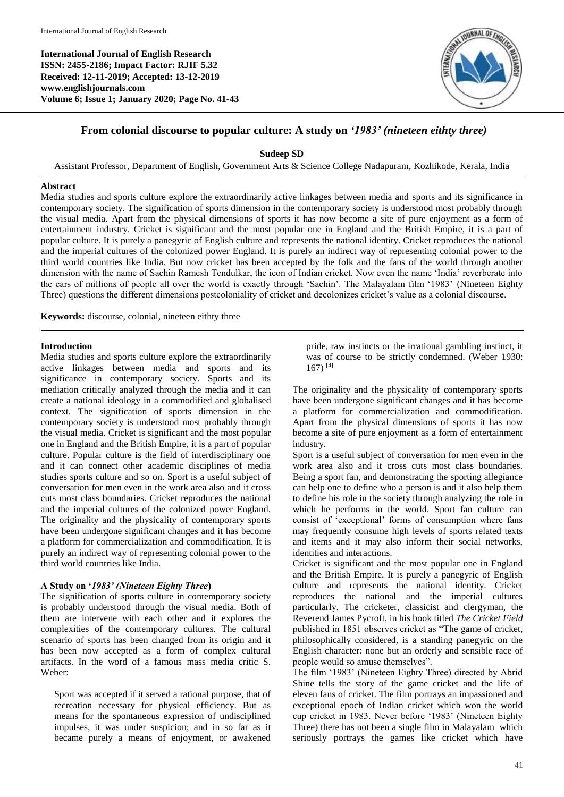**International Journal of English Research ISSN: 2455-2186; Impact Factor: RJIF 5.32 Received: 12-11-2019; Accepted: 13-12-2019 www.englishjournals.com Volume 6; Issue 1; January 2020; Page No. 41-43**



# **From colonial discourse to popular culture: A study on** *'1983' (nineteen eithty three)*

**Sudeep SD**

Assistant Professor, Department of English, Government Arts & Science College Nadapuram, Kozhikode, Kerala, India

### **Abstract**

Media studies and sports culture explore the extraordinarily active linkages between media and sports and its significance in contemporary society. The signification of sports dimension in the contemporary society is understood most probably through the visual media. Apart from the physical dimensions of sports it has now become a site of pure enjoyment as a form of entertainment industry. Cricket is significant and the most popular one in England and the British Empire, it is a part of popular culture. It is purely a panegyric of English culture and represents the national identity. Cricket reproduces the national and the imperial cultures of the colonized power England. It is purely an indirect way of representing colonial power to the third world countries like India. But now cricket has been accepted by the folk and the fans of the world through another dimension with the name of Sachin Ramesh Tendulkar, the icon of Indian cricket. Now even the name 'India' reverberate into the ears of millions of people all over the world is exactly through 'Sachin'. The Malayalam film '1983' (Nineteen Eighty Three) questions the different dimensions postcoloniality of cricket and decolonizes cricket's value as a colonial discourse.

**Keywords:** discourse, colonial, nineteen eithty three

### **Introduction**

Media studies and sports culture explore the extraordinarily active linkages between media and sports and its significance in contemporary society. Sports and its mediation critically analyzed through the media and it can create a national ideology in a commodified and globalised context. The signification of sports dimension in the contemporary society is understood most probably through the visual media. Cricket is significant and the most popular one in England and the British Empire, it is a part of popular culture. Popular culture is the field of interdisciplinary one and it can connect other academic disciplines of media studies sports culture and so on. Sport is a useful subject of conversation for men even in the work area also and it cross cuts most class boundaries. Cricket reproduces the national and the imperial cultures of the colonized power England. The originality and the physicality of contemporary sports have been undergone significant changes and it has become a platform for commercialization and commodification. It is purely an indirect way of representing colonial power to the third world countries like India.

## **A Study on '***1983' (Nineteen Eighty Three***)**

The signification of sports culture in contemporary society is probably understood through the visual media. Both of them are intervene with each other and it explores the complexities of the contemporary cultures. The cultural scenario of sports has been changed from its origin and it has been now accepted as a form of complex cultural artifacts. In the word of a famous mass media critic S. Weber:

Sport was accepted if it served a rational purpose, that of recreation necessary for physical efficiency. But as means for the spontaneous expression of undisciplined impulses, it was under suspicion; and in so far as it became purely a means of enjoyment, or awakened

pride, raw instincts or the irrational gambling instinct, it was of course to be strictly condemned. (Weber 1930: 167) [4]

The originality and the physicality of contemporary sports have been undergone significant changes and it has become a platform for commercialization and commodification. Apart from the physical dimensions of sports it has now become a site of pure enjoyment as a form of entertainment industry.

Sport is a useful subject of conversation for men even in the work area also and it cross cuts most class boundaries. Being a sport fan, and demonstrating the sporting allegiance can help one to define who a person is and it also help them to define his role in the society through analyzing the role in which he performs in the world. Sport fan culture can consist of 'exceptional' forms of consumption where fans may frequently consume high levels of sports related texts and items and it may also inform their social networks, identities and interactions.

Cricket is significant and the most popular one in England and the British Empire. It is purely a panegyric of English culture and represents the national identity. Cricket reproduces the national and the imperial cultures particularly. The cricketer, classicist and clergyman, the Reverend James Pycroft, in his book titled *The Cricket Field* published in 1851 observes cricket as "The game of cricket, philosophically considered, is a standing panegyric on the English character: none but an orderly and sensible race of people would so amuse themselves".

The film '1983' (Nineteen Eighty Three) directed by Abrid Shine tells the story of the game cricket and the life of eleven fans of cricket. The film portrays an impassioned and exceptional epoch of Indian cricket which won the world cup cricket in 1983. Never before '1983' (Nineteen Eighty Three) there has not been a single film in Malayalam which seriously portrays the games like cricket which have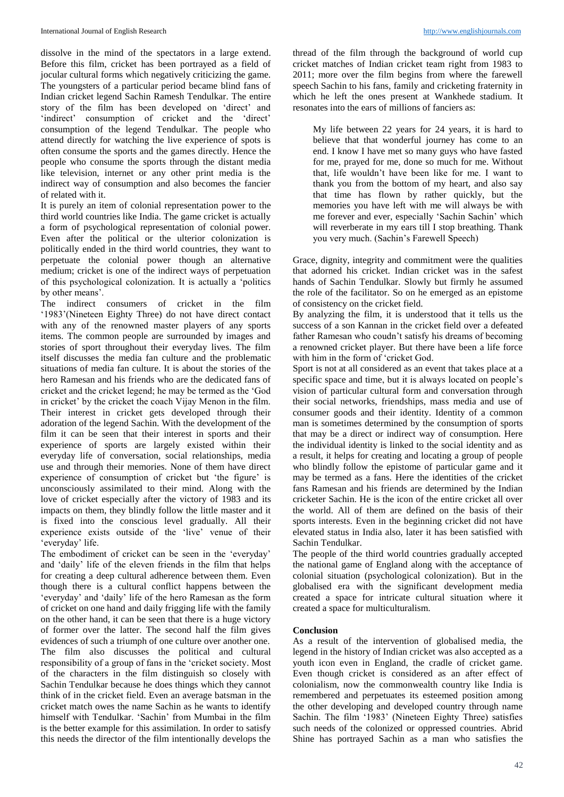dissolve in the mind of the spectators in a large extend. Before this film, cricket has been portrayed as a field of jocular cultural forms which negatively criticizing the game. The youngsters of a particular period became blind fans of Indian cricket legend Sachin Ramesh Tendulkar. The entire story of the film has been developed on 'direct' and 'indirect' consumption of cricket and the 'direct' consumption of the legend Tendulkar. The people who attend directly for watching the live experience of spots is often consume the sports and the games directly. Hence the people who consume the sports through the distant media like television, internet or any other print media is the indirect way of consumption and also becomes the fancier of related with it.

It is purely an item of colonial representation power to the third world countries like India. The game cricket is actually a form of psychological representation of colonial power. Even after the political or the ulterior colonization is politically ended in the third world countries, they want to perpetuate the colonial power though an alternative medium; cricket is one of the indirect ways of perpetuation of this psychological colonization. It is actually a 'politics by other means'.

The indirect consumers of cricket in the film '1983'(Nineteen Eighty Three) do not have direct contact with any of the renowned master players of any sports items. The common people are surrounded by images and stories of sport throughout their everyday lives. The film itself discusses the media fan culture and the problematic situations of media fan culture. It is about the stories of the hero Ramesan and his friends who are the dedicated fans of cricket and the cricket legend; he may be termed as the 'God in cricket' by the cricket the coach Vijay Menon in the film. Their interest in cricket gets developed through their adoration of the legend Sachin. With the development of the film it can be seen that their interest in sports and their experience of sports are largely existed within their everyday life of conversation, social relationships, media use and through their memories. None of them have direct experience of consumption of cricket but 'the figure' is unconsciously assimilated to their mind. Along with the love of cricket especially after the victory of 1983 and its impacts on them, they blindly follow the little master and it is fixed into the conscious level gradually. All their experience exists outside of the 'live' venue of their 'everyday' life.

The embodiment of cricket can be seen in the 'everyday' and 'daily' life of the eleven friends in the film that helps for creating a deep cultural adherence between them. Even though there is a cultural conflict happens between the 'everyday' and 'daily' life of the hero Ramesan as the form of cricket on one hand and daily frigging life with the family on the other hand, it can be seen that there is a huge victory of former over the latter. The second half the film gives evidences of such a triumph of one culture over another one. The film also discusses the political and cultural responsibility of a group of fans in the 'cricket society. Most of the characters in the film distinguish so closely with Sachin Tendulkar because he does things which they cannot think of in the cricket field. Even an average batsman in the cricket match owes the name Sachin as he wants to identify himself with Tendulkar. 'Sachin' from Mumbai in the film is the better example for this assimilation. In order to satisfy this needs the director of the film intentionally develops the

thread of the film through the background of world cup cricket matches of Indian cricket team right from 1983 to 2011; more over the film begins from where the farewell speech Sachin to his fans, family and cricketing fraternity in which he left the ones present at Wankhede stadium. It resonates into the ears of millions of fanciers as:

My life between 22 years for 24 years, it is hard to believe that that wonderful journey has come to an end. I know I have met so many guys who have fasted for me, prayed for me, done so much for me. Without that, life wouldn't have been like for me. I want to thank you from the bottom of my heart, and also say that time has flown by rather quickly, but the memories you have left with me will always be with me forever and ever, especially 'Sachin Sachin' which will reverberate in my ears till I stop breathing. Thank you very much. (Sachin's Farewell Speech)

Grace, dignity, integrity and commitment were the qualities that adorned his cricket. Indian cricket was in the safest hands of Sachin Tendulkar. Slowly but firmly he assumed the role of the facilitator. So on he emerged as an epistome of consistency on the cricket field.

By analyzing the film, it is understood that it tells us the success of a son Kannan in the cricket field over a defeated father Ramesan who coudn't satisfy his dreams of becoming a renowned cricket player. But there have been a life force with him in the form of 'cricket God.

Sport is not at all considered as an event that takes place at a specific space and time, but it is always located on people's vision of particular cultural form and conversation through their social networks, friendships, mass media and use of consumer goods and their identity. Identity of a common man is sometimes determined by the consumption of sports that may be a direct or indirect way of consumption. Here the individual identity is linked to the social identity and as a result, it helps for creating and locating a group of people who blindly follow the epistome of particular game and it may be termed as a fans. Here the identities of the cricket fans Ramesan and his friends are determined by the Indian cricketer Sachin. He is the icon of the entire cricket all over the world. All of them are defined on the basis of their sports interests. Even in the beginning cricket did not have elevated status in India also, later it has been satisfied with Sachin Tendulkar.

The people of the third world countries gradually accepted the national game of England along with the acceptance of colonial situation (psychological colonization). But in the globalised era with the significant development media created a space for intricate cultural situation where it created a space for multiculturalism.

### **Conclusion**

As a result of the intervention of globalised media, the legend in the history of Indian cricket was also accepted as a youth icon even in England, the cradle of cricket game. Even though cricket is considered as an after effect of colonialism, now the commonwealth country like India is remembered and perpetuates its esteemed position among the other developing and developed country through name Sachin. The film '1983' (Nineteen Eighty Three) satisfies such needs of the colonized or oppressed countries. Abrid Shine has portrayed Sachin as a man who satisfies the